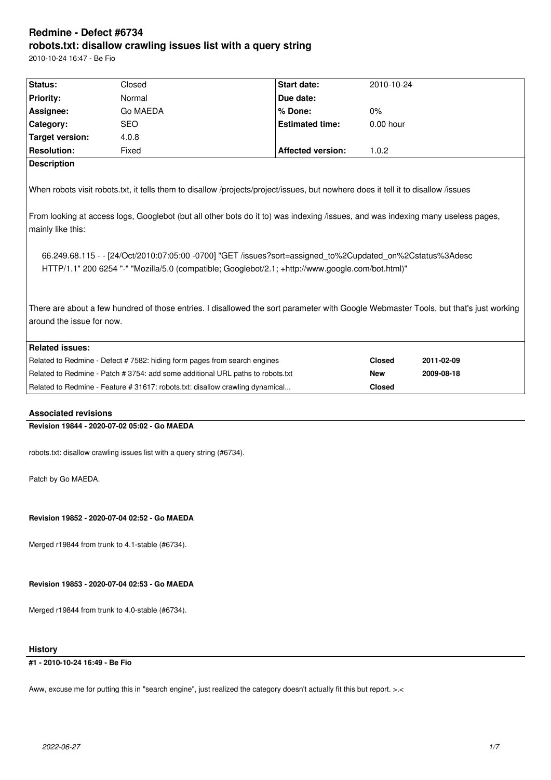# **Redmine - Defect #6734 robots.txt: disallow crawling issues list with a query string**

2010-10-24 16:47 - Ве Fio

| Status:                                                                                                                                                                                                        | Closed     | Start date:              | 2010-10-24    |            |
|----------------------------------------------------------------------------------------------------------------------------------------------------------------------------------------------------------------|------------|--------------------------|---------------|------------|
| <b>Priority:</b>                                                                                                                                                                                               | Normal     | Due date:                |               |            |
| Assignee:                                                                                                                                                                                                      | Go MAEDA   | % Done:                  | $0\%$         |            |
| Category:                                                                                                                                                                                                      | <b>SEO</b> | <b>Estimated time:</b>   | 0.00 hour     |            |
| <b>Target version:</b>                                                                                                                                                                                         | 4.0.8      |                          |               |            |
| <b>Resolution:</b>                                                                                                                                                                                             | Fixed      | <b>Affected version:</b> | 1.0.2         |            |
| <b>Description</b>                                                                                                                                                                                             |            |                          |               |            |
| When robots visit robots.txt, it tells them to disallow /projects/project/issues, but nowhere does it tell it to disallow /issues                                                                              |            |                          |               |            |
| From looking at access logs, Googlebot (but all other bots do it to) was indexing /issues, and was indexing many useless pages,<br>mainly like this:                                                           |            |                          |               |            |
| 66.249.68.115 - - [24/Oct/2010:07:05:00 -0700] "GET /issues?sort=assigned_to%2Cupdated_on%2Cstatus%3Adesc<br>HTTP/1.1" 200 6254 "-" "Mozilla/5.0 (compatible; Googlebot/2.1; +http://www.google.com/bot.html)" |            |                          |               |            |
| There are about a few hundred of those entries. I disallowed the sort parameter with Google Webmaster Tools, but that's just working<br>around the issue for now.                                              |            |                          |               |            |
| <b>Related issues:</b>                                                                                                                                                                                         |            |                          |               |            |
| Related to Redmine - Defect # 7582: hiding form pages from search engines                                                                                                                                      |            |                          | <b>Closed</b> | 2011-02-09 |
| Related to Redmine - Patch # 3754: add some additional URL paths to robots.txt                                                                                                                                 |            |                          | <b>New</b>    | 2009-08-18 |
| Related to Redmine - Feature # 31617: robots.txt: disallow crawling dynamical                                                                                                                                  |            |                          | <b>Closed</b> |            |
|                                                                                                                                                                                                                |            |                          |               |            |
| <b>Associated revisions</b>                                                                                                                                                                                    |            |                          |               |            |
| Revision 19844 - 2020-07-02 05:02 - Go MAEDA                                                                                                                                                                   |            |                          |               |            |
| robots.txt: disallow crawling issues list with a query string (#6734).                                                                                                                                         |            |                          |               |            |
| Patch by Go MAEDA.                                                                                                                                                                                             |            |                          |               |            |
| Revision 19852 - 2020-07-04 02:52 - Go MAEDA                                                                                                                                                                   |            |                          |               |            |
| Merged r19844 from trunk to 4.1-stable (#6734).                                                                                                                                                                |            |                          |               |            |
| Revision 19853 - 2020-07-04 02:53 - Go MAEDA                                                                                                                                                                   |            |                          |               |            |
| Merged r19844 from trunk to 4.0-stable (#6734).                                                                                                                                                                |            |                          |               |            |
| <b>History</b>                                                                                                                                                                                                 |            |                          |               |            |

**#1 - 2010-10-24 16:49 - Ве Fio**

Aww, excuse me for putting this in "search engine", just realized the category doesn't actually fit this but report. >.<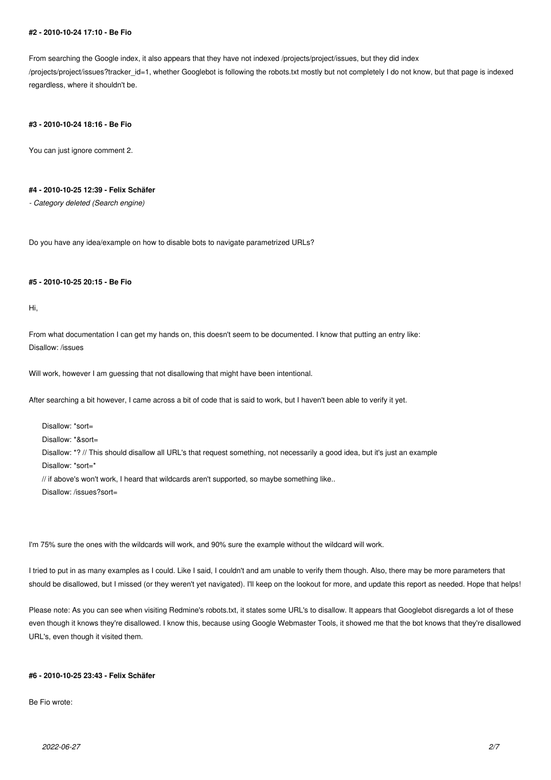#### **#2 - 2010-10-24 17:10 - Ве Fio**

From searching the Google index, it also appears that they have not indexed /projects/project/issues, but they did index /projects/project/issues?tracker\_id=1, whether Googlebot is following the robots.txt mostly but not completely I do not know, but that page is indexed regardless, where it shouldn't be.

#### **#3 - 2010-10-24 18:16 - Ве Fio**

You can just ignore comment 2.

### **#4 - 2010-10-25 12:39 - Felix Schäfer**

*- Category deleted (Search engine)*

Do you have any idea/example on how to disable bots to navigate parametrized URLs?

### **#5 - 2010-10-25 20:15 - Ве Fio**

Hi,

From what documentation I can get my hands on, this doesn't seem to be documented. I know that putting an entry like: Disallow: /issues

Will work, however I am guessing that not disallowing that might have been intentional.

After searching a bit however, I came across a bit of code that is said to work, but I haven't been able to verify it yet.

Disallow: \*sort= Disallow: \*&sort= Disallow: \*? // This should disallow all URL's that request something, not necessarily a good idea, but it's just an example Disallow: \*sort=\* // if above's won't work, I heard that wildcards aren't supported, so maybe something like.. Disallow: /issues?sort=

I'm 75% sure the ones with the wildcards will work, and 90% sure the example without the wildcard will work.

I tried to put in as many examples as I could. Like I said, I couldn't and am unable to verify them though. Also, there may be more parameters that should be disallowed, but I missed (or they weren't yet navigated). I'll keep on the lookout for more, and update this report as needed. Hope that helps!

Please note: As you can see when visiting Redmine's robots.txt, it states some URL's to disallow. It appears that Googlebot disregards a lot of these even though it knows they're disallowed. I know this, because using Google Webmaster Tools, it showed me that the bot knows that they're disallowed URL's, even though it visited them.

### **#6 - 2010-10-25 23:43 - Felix Schäfer**

Ве Fio wrote: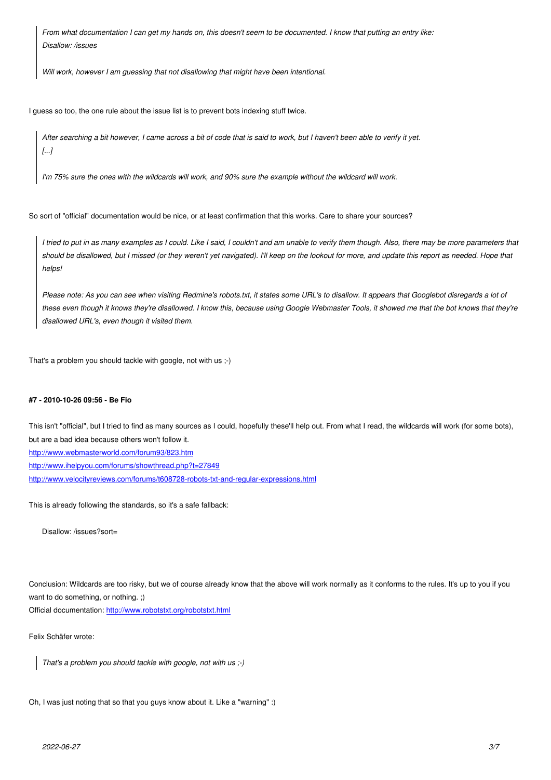*Disallow: /issues*

*Will work, however I am guessing that not disallowing that might have been intentional.*

I guess so too, the one rule about the issue list is to prevent bots indexing stuff twice.

*After searching a bit however, I came across a bit of code that is said to work, but I haven't been able to verify it yet. [...]*

*I'm 75% sure the ones with the wildcards will work, and 90% sure the example without the wildcard will work.*

So sort of "official" documentation would be nice, or at least confirmation that this works. Care to share your sources?

*I tried to put in as many examples as I could. Like I said, I couldn't and am unable to verify them though. Also, there may be more parameters that should be disallowed, but I missed (or they weren't yet navigated). I'll keep on the lookout for more, and update this report as needed. Hope that helps!*

*Please note: As you can see when visiting Redmine's robots.txt, it states some URL's to disallow. It appears that Googlebot disregards a lot of these even though it knows they're disallowed. I know this, because using Google Webmaster Tools, it showed me that the bot knows that they're disallowed URL's, even though it visited them.*

That's a problem you should tackle with google, not with us ;-)

### **#7 - 2010-10-26 09:56 - Ве Fio**

This isn't "official", but I tried to find as many sources as I could, hopefully these'll help out. From what I read, the wildcards will work (for some bots), but are a bad idea because others won't follow it. http://www.webmasterworld.com/forum93/823.htm http://www.ihelpyou.com/forums/showthread.php?t=27849 http://www.velocityreviews.com/forums/t608728-robots-txt-and-regular-expressions.html

[This is already following the standards, so it](http://www.ihelpyou.com/forums/showthread.php?t=27849)['](http://www.webmasterworld.com/forum93/823.htm)[s a safe fallbac](http://www.ihelpyou.com/forums/showthread.php?t=27849)k:

[Disallow: /issues?sort=](http://www.velocityreviews.com/forums/t608728-robots-txt-and-regular-expressions.html)

Conclusion: Wildcards are too risky, but we of course already know that the above will work normally as it conforms to the rules. It's up to you if you want to do something, or nothing. ;)

Official documentation: http://www.robotstxt.org/robotstxt.html

Felix Schäfer wrote:

*That's a problem y[ou should tackle with google, not with u](http://www.robotstxt.org/robotstxt.html)s ;-)*

Oh, I was just noting that so that you guys know about it. Like a "warning" :)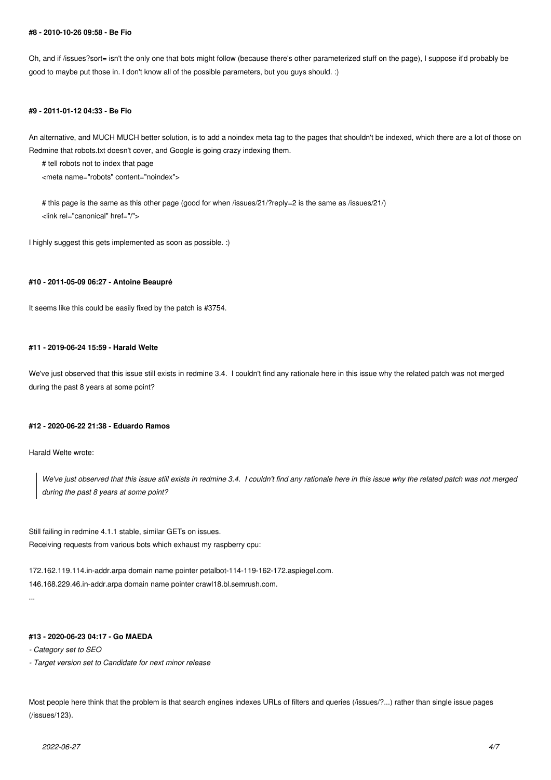#### **#8 - 2010-10-26 09:58 - Ве Fio**

Oh, and if /issues?sort= isn't the only one that bots might follow (because there's other parameterized stuff on the page), I suppose it'd probably be good to maybe put those in. I don't know all of the possible parameters, but you guys should. :)

#### **#9 - 2011-01-12 04:33 - Ве Fio**

An alternative, and MUCH MUCH better solution, is to add a noindex meta tag to the pages that shouldn't be indexed, which there are a lot of those on Redmine that robots.txt doesn't cover, and Google is going crazy indexing them.

# tell robots not to index that page

<meta name="robots" content="noindex">

# this page is the same as this other page (good for when /issues/21/?reply=2 is the same as /issues/21/) <link rel="canonical" href="/">

I highly suggest this gets implemented as soon as possible. :)

### **#10 - 2011-05-09 06:27 - Antoine Beaupré**

It seems like this could be easily fixed by the patch is #3754.

### **#11 - 2019-06-24 15:59 - Harald Welte**

We've just observed that this issue still exists in redmine 3.4. I couldn't find any rationale here in this issue why the related patch was not merged during the past 8 years at some point?

### **#12 - 2020-06-22 21:38 - Eduardo Ramos**

Harald Welte wrote:

*We've just observed that this issue still exists in redmine 3.4. I couldn't find any rationale here in this issue why the related patch was not merged during the past 8 years at some point?*

Still failing in redmine 4.1.1 stable, similar GETs on issues. Receiving requests from various bots which exhaust my raspberry cpu:

172.162.119.114.in-addr.arpa domain name pointer petalbot-114-119-162-172.aspiegel.com. 146.168.229.46.in-addr.arpa domain name pointer crawl18.bl.semrush.com. ...

### **#13 - 2020-06-23 04:17 - Go MAEDA**

*- Category set to SEO*

*- Target version set to Candidate for next minor release*

Most people here think that the problem is that search engines indexes URLs of filters and queries (/issues/?...) rather than single issue pages (/issues/123).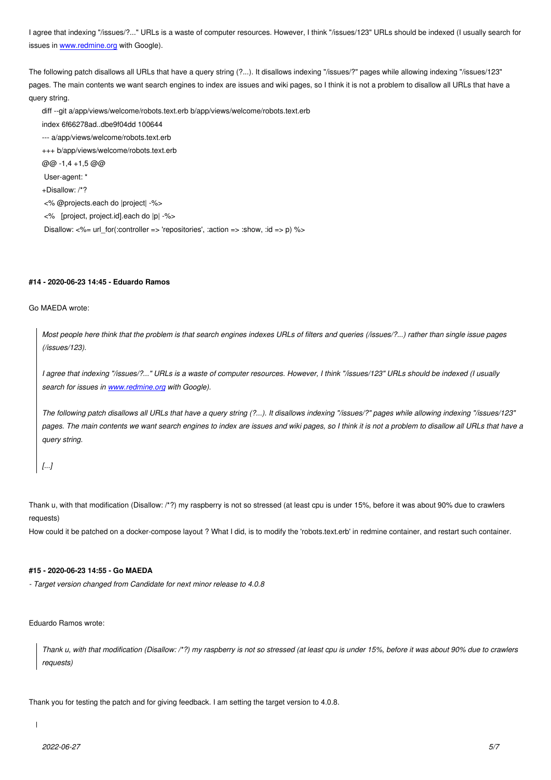issues in www.redmine.org with Google).

The following patch disallows all URLs that have a query string (?...). It disallows indexing "/issues/?" pages while allowing indexing "/issues/123" pages. T[he main contents w](http://www.redmine.org)e want search engines to index are issues and wiki pages, so I think it is not a problem to disallow all URLs that have a query string.

diff --git a/app/views/welcome/robots.text.erb b/app/views/welcome/robots.text.erb index 6f66278ad..dbe9f04dd 100644 --- a/app/views/welcome/robots.text.erb +++ b/app/views/welcome/robots.text.erb @@ -1,4 +1,5 @@ User-agent: \* +Disallow: /\*? <% @projects.each do |project| -%> <% [project, project.id].each do |p| -%> Disallow:  $\langle -\% = \text{url} \text{ for}$ : controller => 'repositories', :action => :show, :id => p)  $\langle -\rangle$ 

# **#14 - 2020-06-23 14:45 - Eduardo Ramos**

Go MAEDA wrote:

*Most people here think that the problem is that search engines indexes URLs of filters and queries (/issues/?...) rather than single issue pages (/issues/123).*

*I agree that indexing "/issues/?..." URLs is a waste of computer resources. However, I think "/issues/123" URLs should be indexed (I usually search for issues in www.redmine.org with Google).*

*The following patch disallows all URLs that have a query string (?...). It disallows indexing "/issues/?" pages while allowing indexing "/issues/123" pages. The main co[ntents we want se](http://www.redmine.org)arch engines to index are issues and wiki pages, so I think it is not a problem to disallow all URLs that have a query string.*

*[...]*

Thank u, with that modification (Disallow: /\*?) my raspberry is not so stressed (at least cpu is under 15%, before it was about 90% due to crawlers requests)

How could it be patched on a docker-compose layout ? What I did, is to modify the 'robots.text.erb' in redmine container, and restart such container.

### **#15 - 2020-06-23 14:55 - Go MAEDA**

*- Target version changed from Candidate for next minor release to 4.0.8*

Eduardo Ramos wrote:

*Thank u, with that modification (Disallow: /\*?) my raspberry is not so stressed (at least cpu is under 15%, before it was about 90% due to crawlers requests)*

Thank you for testing the patch and for giving feedback. I am setting the target version to 4.0.8.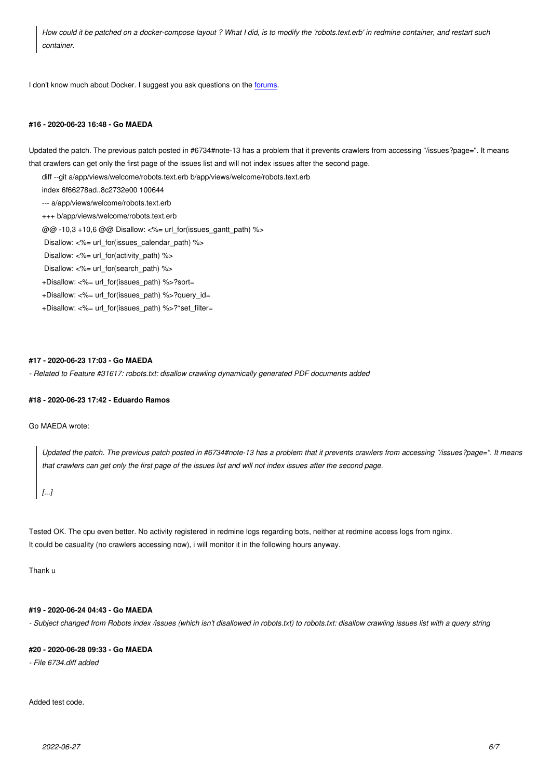*container.*

I don't know much about Docker. I suggest you ask questions on the forums.

#### **#16 - 2020-06-23 16:48 - Go MAEDA**

Updated the patch. The previous patch posted in #6734#note-13 has a problem that it prevents crawlers from accessing "/issues?page=". It means that crawlers can get only the first page of the issues list and will not index issues after the second page.

diff --git a/app/views/welcome/robots.text.erb b/app/views/welcome/robots.text.erb

index 6f66278ad..8c2732e00 100644

--- a/app/views/welcome/robots.text.erb

+++ b/app/views/welcome/robots.text.erb

@@ -10,3 +10,6 @@ Disallow: <%= url\_for(issues\_gantt\_path) %>

Disallow:  $\lt\%$  url for(issues calendar path)  $\%$  >

Disallow: <%= url\_for(activity\_path) %>

Disallow: <%= url\_for(search\_path) %>

+Disallow: <%= url\_for(issues\_path) %>?sort=

+Disallow: <%= url\_for(issues\_path) %>?query\_id=

+Disallow: <%= url\_for(issues\_path) %>?\*set\_filter=

### **#17 - 2020-06-23 17:03 - Go MAEDA**

*- Related to Feature #31617: robots.txt: disallow crawling dynamically generated PDF documents added*

#### **#18 - 2020-06-23 17:42 - Eduardo Ramos**

Go MAEDA wrote:

*Updated the patch. The previous patch posted in #6734#note-13 has a problem that it prevents crawlers from accessing "/issues?page=". It means that crawlers can get only the first page of the issues list and will not index issues after the second page.*

*[...]*

Tested OK. The cpu even better. No activity registered in redmine logs regarding bots, neither at redmine access logs from nginx. It could be casuality (no crawlers accessing now), i will monitor it in the following hours anyway.

Thank u

# **#19 - 2020-06-24 04:43 - Go MAEDA**

*- Subject changed from Robots index /issues (which isn't disallowed in robots.txt) to robots.txt: disallow crawling issues list with a query string*

### **#20 - 2020-06-28 09:33 - Go MAEDA**

*- File 6734.diff added*

Added test code.